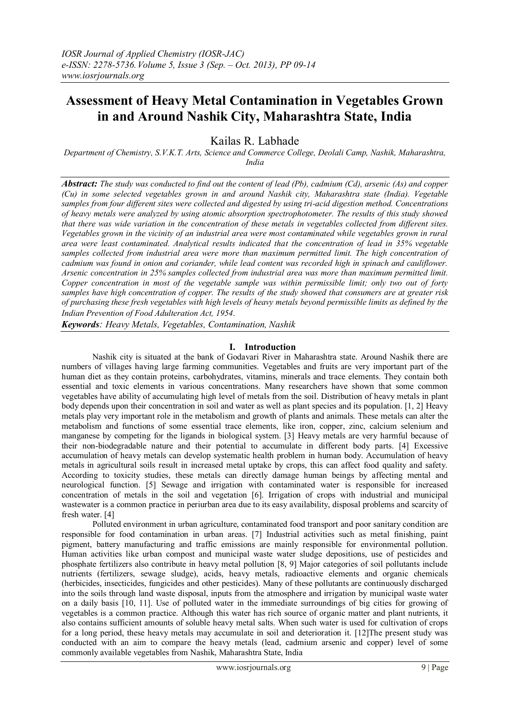# **Assessment of Heavy Metal Contamination in Vegetables Grown in and Around Nashik City, Maharashtra State, India**

Kailas R. Labhade

*Department of Chemistry, S.V.K.T. Arts, Science and Commerce College, Deolali Camp, Nashik, Maharashtra, India* 

*Abstract: The study was conducted to find out the content of lead (Pb), cadmium (Cd), arsenic (As) and copper (Cu) in some selected vegetables grown in and around Nashik city, Maharashtra state (India). Vegetable samples from four different sites were collected and digested by using tri-acid digestion method. Concentrations of heavy metals were analyzed by using atomic absorption spectrophotometer. The results of this study showed that there was wide variation in the concentration of these metals in vegetables collected from different sites. Vegetables grown in the vicinity of an industrial area were most contaminated while vegetables grown in rural area were least contaminated. Analytical results indicated that the concentration of lead in 35% vegetable samples collected from industrial area were more than maximum permitted limit. The high concentration of cadmium was found in onion and coriander, while lead content was recorded high in spinach and cauliflower. Arsenic concentration in 25% samples collected from industrial area was more than maximum permitted limit. Copper concentration in most of the vegetable sample was within permissible limit; only two out of forty samples have high concentration of copper. The results of the study showed that consumers are at greater risk of purchasing these fresh vegetables with high levels of heavy metals beyond permissible limits as defined by the Indian Prevention of Food Adulteration Act, 1954.*

*Keywords: Heavy Metals, Vegetables, Contamination, Nashik*

## **I. Introduction**

Nashik city is situated at the bank of Godavari River in Maharashtra state. Around Nashik there are numbers of villages having large farming communities. Vegetables and fruits are very important part of the human diet as they contain proteins, carbohydrates, vitamins, minerals and trace elements. They contain both essential and toxic elements in various concentrations. Many researchers have shown that some common vegetables have ability of accumulating high level of metals from the soil. Distribution of heavy metals in plant body depends upon their concentration in soil and water as well as plant species and its population. [1, 2] Heavy metals play very important role in the metabolism and growth of plants and animals. These metals can alter the metabolism and functions of some essential trace elements, like iron, copper, zinc, calcium selenium and manganese by competing for the ligands in biological system. [3] Heavy metals are very harmful because of their non-biodegradable nature and their potential to accumulate in different body parts. [4] Excessive accumulation of heavy metals can develop systematic health problem in human body. Accumulation of heavy metals in agricultural soils result in increased metal uptake by crops, this can affect food quality and safety. According to toxicity studies, these metals can directly damage human beings by affecting mental and neurological function. [5] Sewage and irrigation with contaminated water is responsible for increased concentration of metals in the soil and vegetation [6]. Irrigation of crops with industrial and municipal wastewater is a common practice in periurban area due to its easy availability, disposal problems and scarcity of fresh water. [4]

Polluted environment in urban agriculture, contaminated food transport and poor sanitary condition are responsible for food contamination in urban areas. [7] Industrial activities such as metal finishing, paint pigment, battery manufacturing and traffic emissions are mainly responsible for environmental pollution. Human activities like urban compost and municipal waste water sludge depositions, use of pesticides and phosphate fertilizers also contribute in heavy metal pollution [8, 9] Major categories of soil pollutants include nutrients (fertilizers, sewage sludge), acids, heavy metals, radioactive elements and organic chemicals (herbicides, insecticides, fungicides and other pesticides). Many of these pollutants are continuously discharged into the soils through land waste disposal, inputs from the atmosphere and irrigation by municipal waste water on a daily basis [10, 11]. Use of polluted water in the immediate surroundings of big cities for growing of vegetables is a common practice. Although this water has rich source of organic matter and plant nutrients, it also contains sufficient amounts of soluble heavy metal salts. When such water is used for cultivation of crops for a long period, these heavy metals may accumulate in soil and deterioration it. [12]The present study was conducted with an aim to compare the heavy metals (lead, cadmium arsenic and copper) level of some commonly available vegetables from Nashik, Maharashtra State, India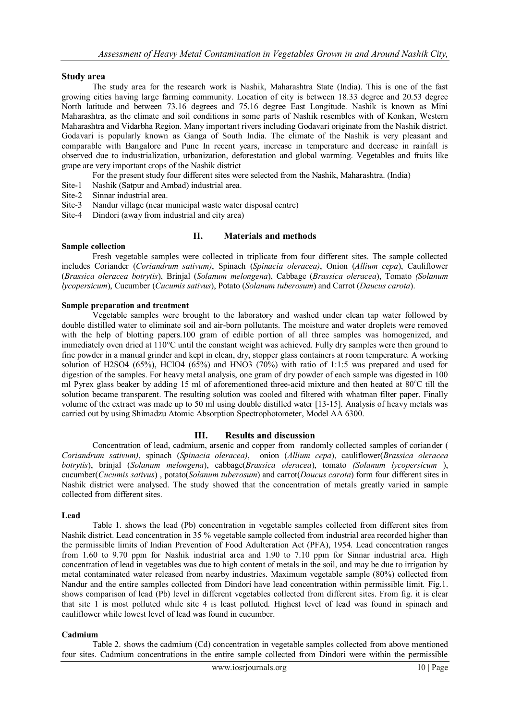#### **Study area**

The study area for the research work is Nashik, Maharashtra State (India). This is one of the fast growing cities having large farming community. Location of city is between 18.33 degree and 20.53 degree North latitude and between 73.16 degrees and 75.16 degree East Longitude. Nashik is known as Mini Maharashtra, as the climate and soil conditions in some parts of Nashik resembles with of Konkan, Western Maharashtra and Vidarbha Region. Many important rivers including Godavari originate from the Nashik district. Godavari is popularly known as Ganga of South India. The climate of the Nashik is very pleasant and comparable with Bangalore and Pune In recent years, increase in temperature and decrease in rainfall is observed due to industrialization, urbanization, deforestation and global warming. Vegetables and fruits like grape are very important crops of the Nashik district

For the present study four different sites were selected from the Nashik, Maharashtra. (India)

- Site-1 Nashik (Satpur and Ambad) industrial area.
- Sinnar industrial area.
- Site-3 Nandur village (near municipal waste water disposal centre)
- Site-4 Dindori (away from industrial and city area)

#### **II. Materials and methods**

#### **Sample collection**

Fresh vegetable samples were collected in triplicate from four different sites. The sample collected includes Coriander (*Coriandrum sativum)*, Spinach (*Spinacia oleracea)*, Onion (*Allium cepa*), Cauliflower (*Brassica oleracea botrytis*), Brinjal (*Solanum melongena*), Cabbage (*Brassica oleracea*), Tomato *(Solanum lycopersicum*), Cucumber (*Cucumis sativus*), Potato (*Solanum tuberosum*) and Carrot (*Daucus carota*).

#### **Sample preparation and treatment**

Vegetable samples were brought to the laboratory and washed under clean tap water followed by double distilled water to eliminate soil and air-born pollutants. The moisture and water droplets were removed with the help of blotting papers.100 gram of edible portion of all three samples was homogenized, and immediately oven dried at 110°C until the constant weight was achieved. Fully dry samples were then ground to fine powder in a manual grinder and kept in clean, dry, stopper glass containers at room temperature. A working solution of H2SO4 (65%), HClO4 (65%) and HNO3 (70%) with ratio of 1:1:5 was prepared and used for digestion of the samples. For heavy metal analysis, one gram of dry powder of each sample was digested in 100 ml Pyrex glass beaker by adding 15 ml of aforementioned three-acid mixture and then heated at  $80^{\circ}$ C till the solution became transparent. The resulting solution was cooled and filtered with whatman filter paper. Finally volume of the extract was made up to 50 ml using double distilled water [13-15]. Analysis of heavy metals was carried out by using Shimadzu Atomic Absorption Spectrophotometer, Model AA 6300.

#### **III. Results and discussion**

Concentration of lead, cadmium, arsenic and copper from randomly collected samples of coriander ( *Coriandrum sativum)*, spinach (*Spinacia oleracea)*, onion (*Allium cepa*), cauliflower(*Brassica oleracea botrytis*), brinjal (*Solanum melongena*), cabbage(*Brassica oleracea*), tomato *(Solanum lycopersicum* ), cucumber(*Cucumis sativus*) , potato(*Solanum tuberosum*) and carrot(*Daucus carota*) form four different sites in Nashik district were analysed. The study showed that the concentration of metals greatly varied in sample collected from different sites.

#### **Lead**

Table 1. shows the lead (Pb) concentration in vegetable samples collected from different sites from Nashik district. Lead concentration in 35 % vegetable sample collected from industrial area recorded higher than the permissible limits of Indian Prevention of Food Adulteration Act (PFA), 1954. Lead concentration ranges from 1.60 to 9.70 ppm for Nashik industrial area and 1.90 to 7.10 ppm for Sinnar industrial area. High concentration of lead in vegetables was due to high content of metals in the soil, and may be due to irrigation by metal contaminated water released from nearby industries. Maximum vegetable sample (80%) collected from Nandur and the entire samples collected from Dindori have lead concentration within permissible limit. Fig.1. shows comparison of lead (Pb) level in different vegetables collected from different sites. From fig. it is clear that site 1 is most polluted while site 4 is least polluted. Highest level of lead was found in spinach and cauliflower while lowest level of lead was found in cucumber.

#### **Cadmium**

Table 2. shows the cadmium (Cd) concentration in vegetable samples collected from above mentioned four sites. Cadmium concentrations in the entire sample collected from Dindori were within the permissible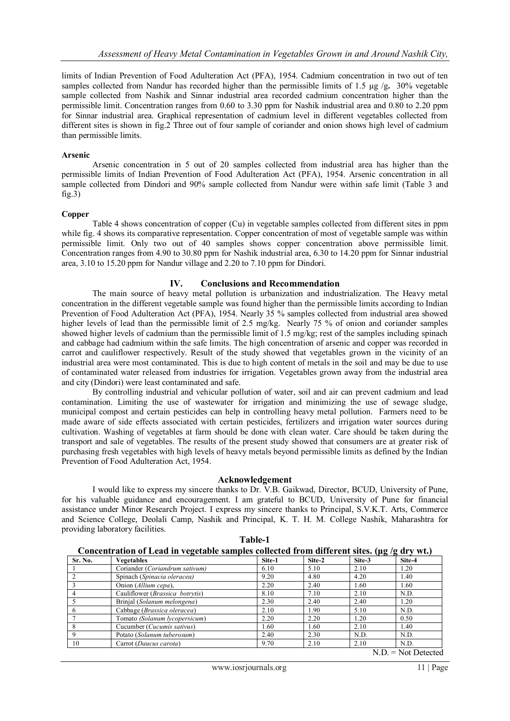limits of Indian Prevention of Food Adulteration Act (PFA), 1954. Cadmium concentration in two out of ten samples collected from Nandur has recorded higher than the permissible limits of 1.5 μg /g**.** 30% vegetable sample collected from Nashik and Sinnar industrial area recorded cadmium concentration higher than the permissible limit. Concentration ranges from 0.60 to 3.30 ppm for Nashik industrial area and 0.80 to 2.20 ppm for Sinnar industrial area. Graphical representation of cadmium level in different vegetables collected from different sites is shown in fig.2 Three out of four sample of coriander and onion shows high level of cadmium than permissible limits.

#### **Arsenic**

Arsenic concentration in 5 out of 20 samples collected from industrial area has higher than the permissible limits of Indian Prevention of Food Adulteration Act (PFA), 1954. Arsenic concentration in all sample collected from Dindori and 90% sample collected from Nandur were within safe limit (Table 3 and  $fig.3)$ 

#### **Copper**

Table 4 shows concentration of copper (Cu) in vegetable samples collected from different sites in ppm while fig. 4 shows its comparative representation. Copper concentration of most of vegetable sample was within permissible limit. Only two out of 40 samples shows copper concentration above permissible limit. Concentration ranges from 4.90 to 30.80 ppm for Nashik industrial area, 6.30 to 14.20 ppm for Sinnar industrial area, 3.10 to 15.20 ppm for Nandur village and 2.20 to 7.10 ppm for Dindori.

#### **IV. Conclusions and Recommendation**

The main source of heavy metal pollution is urbanization and industrialization. The Heavy metal concentration in the different vegetable sample was found higher than the permissible limits according to Indian Prevention of Food Adulteration Act (PFA), 1954. Nearly 35 % samples collected from industrial area showed higher levels of lead than the permissible limit of 2.5 mg/kg. Nearly 75 % of onion and coriander samples showed higher levels of cadmium than the permissible limit of 1.5 mg/kg; rest of the samples including spinach and cabbage had cadmium within the safe limits. The high concentration of arsenic and copper was recorded in carrot and cauliflower respectively. Result of the study showed that vegetables grown in the vicinity of an industrial area were most contaminated. This is due to high content of metals in the soil and may be due to use of contaminated water released from industries for irrigation. Vegetables grown away from the industrial area and city (Dindori) were least contaminated and safe.

By controlling industrial and vehicular pollution of water, soil and air can prevent cadmium and lead contamination. Limiting the use of wastewater for irrigation and minimizing the use of sewage sludge, municipal compost and certain pesticides can help in controlling heavy metal pollution. Farmers need to be made aware of side effects associated with certain pesticides, fertilizers and irrigation water sources during cultivation. Washing of vegetables at farm should be done with clean water. Care should be taken during the transport and sale of vegetables. The results of the present study showed that consumers are at greater risk of purchasing fresh vegetables with high levels of heavy metals beyond permissible limits as defined by the Indian Prevention of Food Adulteration Act, 1954.

#### **Acknowledgement**

I would like to express my sincere thanks to Dr. V.B. Gaikwad, Director, BCUD, University of Pune, for his valuable guidance and encouragement. I am grateful to BCUD, University of Pune for financial assistance under Minor Research Project. I express my sincere thanks to Principal, S.V.K.T. Arts, Commerce and Science College, Deolali Camp, Nashik and Principal, K. T. H. M. College Nashik, Maharashtra for providing laboratory facilities.

| Concentration of Lead in vegetable samples collected from different sites. ( $\mu$ g /g dry wt.) |                                          |        |        |                      |                                                                                                    |
|--------------------------------------------------------------------------------------------------|------------------------------------------|--------|--------|----------------------|----------------------------------------------------------------------------------------------------|
| Sr. No.                                                                                          | <b>Vegetables</b>                        | Site-1 | Site-2 | Site-3               | Site-4                                                                                             |
|                                                                                                  | Coriander (Coriandrum sativum)           | 6.10   | 5.10   | 2.10                 | 1.20                                                                                               |
|                                                                                                  | Spinach (Spinacia oleracea)              | 9.20   | 4.80   | 4.20                 | 1.40                                                                                               |
|                                                                                                  | Onion (Allium cepa),                     | 2.20   | 2.40   | 1.60                 | 1.60                                                                                               |
|                                                                                                  | Cauliflower ( <i>Brassica botrytis</i> ) | 8.10   | 7.10   | 2.10                 | N.D.                                                                                               |
|                                                                                                  | Brinjal (Solanum melongena)              | 2.30   | 2.40   | 2.40                 | 1.20                                                                                               |
|                                                                                                  | Cabbage (Brassica oleracea)              | 2.10   | 1.90   | 5.10                 | N.D.                                                                                               |
|                                                                                                  | Tomato (Solanum lycopersicum)            | 2.20   | 2.20   | 1.20                 | 0.50                                                                                               |
|                                                                                                  | Cucumber ( <i>Cucumis sativus</i> )      | 1.60   | 1.60   | 2.10                 | 1.40                                                                                               |
|                                                                                                  | Potato (Solanum tuberosum)               | 2.40   | 2.30   | N.D.                 | N.D.                                                                                               |
| 10                                                                                               | Carrot (Daucus carota)                   | 9.70   | 2.10   | 2.10<br>$\mathbf{r}$ | N.D.<br>$\mathbf{r}$ $\mathbf{r}$ $\mathbf{r}$ $\mathbf{r}$ $\mathbf{r}$ $\mathbf{r}$ $\mathbf{r}$ |

**Table-1**

 $N.D = Not$  Detected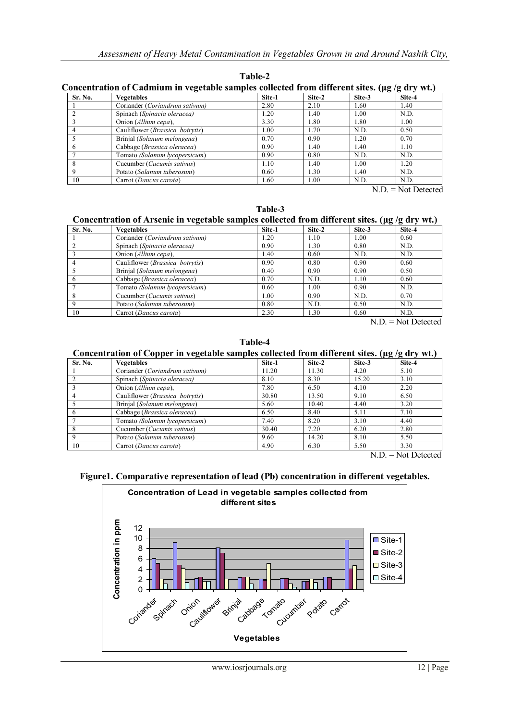**Table-2**

| <b>Sr. No.</b> | <b>Vegetables</b>                   | Site-1 | Site-2 | Site-3 | Site-4 |
|----------------|-------------------------------------|--------|--------|--------|--------|
|                | Coriander (Coriandrum sativum)      | 2.80   | 2.10   | 1.60   | 1.40   |
|                | Spinach (Spinacia oleracea)         | 1.20   | 1.40   | 1.00   | N.D.   |
|                | Onion (Allium cepa),                | 3.30   | 1.80   | 1.80   | 1.00   |
| 4              | Cauliflower (Brassica botrytis)     | 1.00   | 1.70   | N.D.   | 0.50   |
|                | Brinjal (Solanum melongena)         | 0.70   | 0.90   | 1.20   | 0.70   |
| 6              | Cabbage (Brassica oleracea)         | 0.90   | 1.40   | 1.40   | 1.10   |
|                | Tomato (Solanum lycopersicum)       | 0.90   | 0.80   | N.D.   | N.D.   |
| 8              | Cucumber ( <i>Cucumis sativus</i> ) | 1.10   | 1.40   | 1.00   | 1.20   |
| 9              | Potato (Solanum tuberosum)          | 0.60   | 1.30   | 1.40   | N.D.   |
| 10             | Carrot (Daucus carota)              | 1.60   | 1.00   | N.D.   | N.D.   |

N.D. = Not Detected

**Table-3**

# **Concentration of Arsenic in vegetable samples collected from different sites. (μg /g dry wt.)**

| Sr. No. | <b>Vegetables</b>                        | Site-1 | Site-2 | Site-3 | Site-4 |
|---------|------------------------------------------|--------|--------|--------|--------|
|         | Coriander (Coriandrum sativum)           | 1.20   | 1.10   | 1.00   | 0.60   |
|         | Spinach (Spinacia oleracea)              | 0.90   | 1.30   | 0.80   | N.D.   |
|         | Onion (Allium cepa),                     | 1.40   | 0.60   | N.D.   | N.D.   |
|         | Cauliflower ( <i>Brassica botrytis</i> ) | 0.90   | 0.80   | 0.90   | 0.60   |
|         | Brinjal (Solanum melongena)              | 0.40   | 0.90   | 0.90   | 0.50   |
|         | Cabbage (Brassica oleracea)              | 0.70   | N.D.   | 1.10   | 0.60   |
|         | Tomato (Solanum lycopersicum)            | 0.60   | 1.00   | 0.90   | N.D.   |
|         | Cucumber ( <i>Cucumis sativus</i> )      | 1.00   | 0.90   | N.D.   | 0.70   |
|         | Potato (Solanum tuberosum)               | 0.80   | N.D.   | 0.50   | N.D.   |
| 10      | Carrot (Daucus carota)                   | 2.30   | 1.30   | 0.60   | N.D.   |

N.D. = Not Detected

**Table-4**

# **Concentration of Copper in vegetable samples collected from different sites. (μg /g dry wt.)**

| Sr. No.     | <b>Vegetables</b>                        | Site-1 | Site-2 | Site-3 | Site-4 |
|-------------|------------------------------------------|--------|--------|--------|--------|
|             | Coriander (Coriandrum sativum)           | 11.20  | 11.30  | 4.20   | 5.10   |
|             | Spinach (Spinacia oleracea)              | 8.10   | 8.30   | 15.20  | 3.10   |
|             | Onion (Allium cepa),                     | 7.80   | 6.50   | 4.10   | 2.20   |
|             | Cauliflower ( <i>Brassica botrytis</i> ) | 30.80  | 13.50  | 9.10   | 6.50   |
|             | Brinjal (Solanum melongena)              | 5.60   | 10.40  | 4.40   | 3.20   |
|             | Cabbage (Brassica oleracea)              | 6.50   | 8.40   | 5.11   | 7.10   |
|             | Tomato (Solanum lycopersicum)            | 7.40   | 8.20   | 3.10   | 4.40   |
|             | Cucumber (Cucumis sativus)               | 30.40  | 7.20   | 6.20   | 2.80   |
| $\mathbf Q$ | Potato (Solanum tuberosum)               | 9.60   | 14.20  | 8.10   | 5.50   |
| 10          | Carrot ( <i>Daucus carota</i> )          | 4.90   | 6.30   | 5.50   | 3.30   |

N.D. = Not Detected

## **Figure1. Comparative representation of lead (Pb) concentration in different vegetables.**

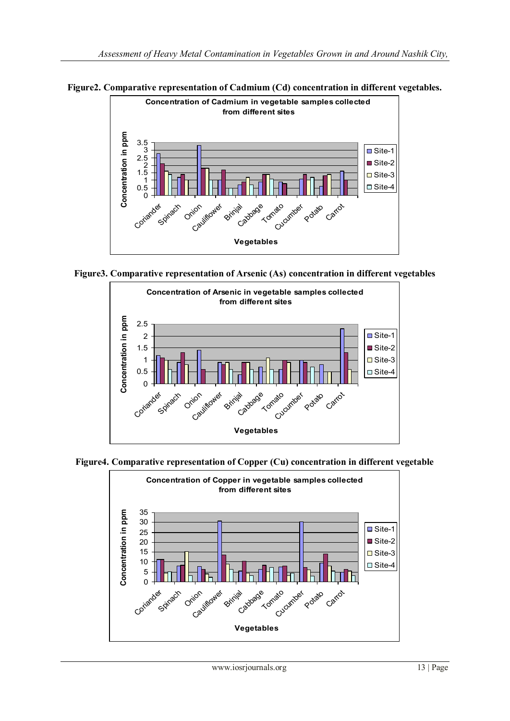

**Figure2. Comparative representation of Cadmium (Cd) concentration in different vegetables.**

**Figure3. Comparative representation of Arsenic (As) concentration in different vegetables**



**Figure4. Comparative representation of Copper (Cu) concentration in different vegetable**